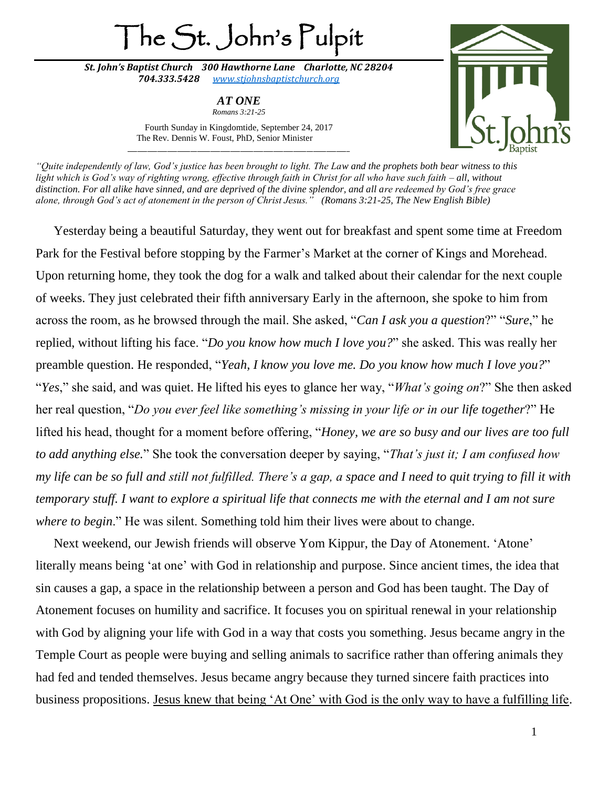## The St. John's Pulpit

*St. John's Baptist Church 300 Hawthorne Lane Charlotte, NC 28204 704.333.5428 [www.stjohnsbaptistchurch.org](http://www.stjohnsbaptistchurch.org/)*

## *AT ONE Romans 3:21-25*

Fourth Sunday in Kingdomtide, September 24, 2017 The Rev. Dennis W. Foust, PhD, Senior Minister

\_\_\_\_\_\_\_\_\_\_\_\_\_\_\_\_\_\_\_\_\_\_\_\_\_\_\_\_\_\_\_\_\_\_\_\_\_\_\_\_\_\_\_\_\_\_\_\_\_\_\_\_\_\_\_\_\_\_\_\_\_\_\_\_\_\_\_



*"Quite independently of law, God's justice has been brought to light. The Law and the prophets both bear witness to this light which is God's way of righting wrong, effective through faith in Christ for all who have such faith – all, without distinction. For all alike have sinned, and are deprived of the divine splendor, and all are redeemed by God's free grace alone, through God's act of atonement in the person of Christ Jesus." (Romans 3:21-25, The New English Bible)*

Yesterday being a beautiful Saturday, they went out for breakfast and spent some time at Freedom Park for the Festival before stopping by the Farmer's Market at the corner of Kings and Morehead. Upon returning home, they took the dog for a walk and talked about their calendar for the next couple of weeks. They just celebrated their fifth anniversary Early in the afternoon, she spoke to him from across the room, as he browsed through the mail. She asked, "*Can I ask you a question*?" "*Sure*," he replied, without lifting his face. "*Do you know how much I love you?*" she asked. This was really her preamble question. He responded, "*Yeah, I know you love me. Do you know how much I love you?*" "*Yes*," she said, and was quiet. He lifted his eyes to glance her way, "*What's going on*?" She then asked her real question, "*Do you ever feel like something's missing in your life or in our life together*?" He lifted his head, thought for a moment before offering, "*Honey, we are so busy and our lives are too full to add anything else.*" She took the conversation deeper by saying, "*That's just it; I am confused how my life can be so full and still not fulfilled. There's a gap, a space and I need to quit trying to fill it with temporary stuff. I want to explore a spiritual life that connects me with the eternal and I am not sure where to begin*." He was silent. Something told him their lives were about to change.

Next weekend, our Jewish friends will observe Yom Kippur, the Day of Atonement. 'Atone' literally means being 'at one' with God in relationship and purpose. Since ancient times, the idea that sin causes a gap, a space in the relationship between a person and God has been taught. The Day of Atonement focuses on humility and sacrifice. It focuses you on spiritual renewal in your relationship with God by aligning your life with God in a way that costs you something. Jesus became angry in the Temple Court as people were buying and selling animals to sacrifice rather than offering animals they had fed and tended themselves. Jesus became angry because they turned sincere faith practices into business propositions. Jesus knew that being 'At One' with God is the only way to have a fulfilling life.